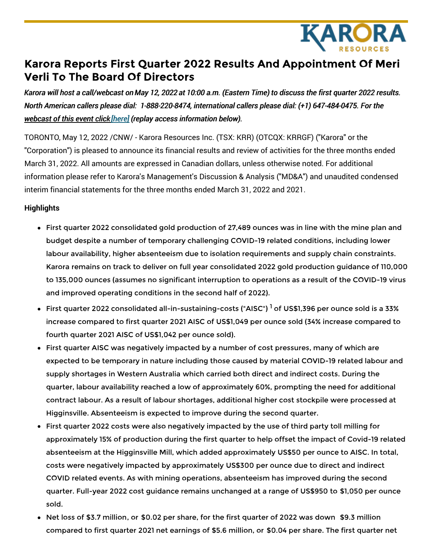

# **Karora Reports First Quarter 2022 Results And Appointment Of Meri Verli To The Board Of Directors**

Karora will host a call/webcast on May 12, 2022 at 10:00 a.m. (Eastern Time) to discuss the first quarter 2022 results. *North American callers please dial: 1-888-220-8474, international callers please dial: (+1) 647-484-0475. For the webcast of this event click [\[here\]](https://c212.net/c/link/?t=0&l=en&o=3534769-1&h=1571049691&u=https%3A%2F%2Fproduceredition.webcasts.com%2Fstarthere.jsp%3Fei%3D1544859%26tp_key%3D0dc6b249ea&a=%5Bhere%5D) (replay access information below).*

TORONTO, May 12, 2022 /CNW/ - Karora Resources Inc. (TSX: KRR) (OTCQX: KRRGF) ("Karora" or the "Corporation") is pleased to announce its financial results and review of activities for the three months ended March 31, 2022. All amounts are expressed in Canadian dollars, unless otherwise noted. For additional information please refer to Karora's Management's Discussion & Analysis ("MD&A") and unaudited condensed interim financial statements for the three months ended March 31, 2022 and 2021.

#### **Highlights**

- First quarter 2022 consolidated gold production of 27,489 ounces was in line with the mine plan and budget despite a number of temporary challenging COVID-19 related conditions, including lower labour availability, higher absenteeism due to isolation requirements and supply chain constraints. Karora remains on track to deliver on full year consolidated 2022 gold production guidance of 110,000 to 135,000 ounces (assumes no significant interruption to operations as a result of the COVID-19 virus and improved operating conditions in the second half of 2022).
- First quarter 2022 consolidated all-in-sustaining-costs ("AISC") <sup>1</sup> of US\$1,396 per ounce sold is a 33% increase compared to first quarter 2021 AISC of US\$1,049 per ounce sold (34% increase compared to fourth quarter 2021 AISC of US\$1,042 per ounce sold).
- First quarter AISC was negatively impacted by a number of cost pressures, many of which are expected to be temporary in nature including those caused by material COVID-19 related labour and supply shortages in Western Australia which carried both direct and indirect costs. During the quarter, labour availability reached a low of approximately 60%, prompting the need for additional contract labour. As a result of labour shortages, additional higher cost stockpile were processed at Higginsville. Absenteeism is expected to improve during the second quarter.
- First quarter 2022 costs were also negatively impacted by the use of third party toll milling for approximately 15% of production during the first quarter to help offset the impact of Covid-19 related absenteeism at the Higginsville Mill, which added approximately US\$50 per ounce to AISC. In total, costs were negatively impacted by approximately US\$300 per ounce due to direct and indirect COVID related events. As with mining operations, absenteeism has improved during the second quarter. Full-year 2022 cost guidance remains unchanged at a range of US\$950 to \$1,050 per ounce sold.
- Net loss of \$3.7 million, or \$0.02 per share, for the first quarter of 2022 was down \$9.3 million compared to first quarter 2021 net earnings of \$5.6 million, or \$0.04 per share. The first quarter net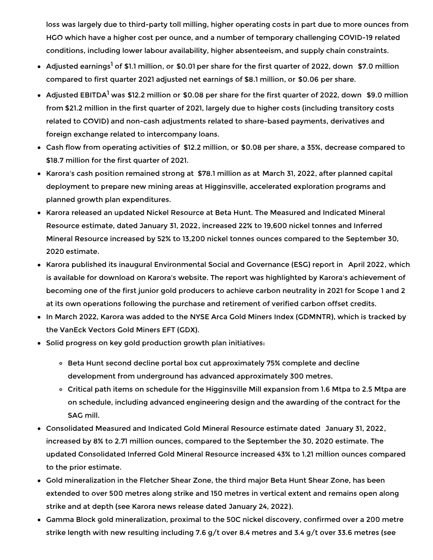loss was largely due to third-party toll milling, higher operating costs in part due to more ounces from HGO which have a higher cost per ounce, and a number of temporary challenging COVID-19 related conditions, including lower labour availability, higher absenteeism, and supply chain constraints.

- Adjusted earnings<sup>1</sup> of \$1.1 million, or \$0.01 per share for the first quarter of 2022, down \$7.0 million compared to first quarter 2021 adjusted net earnings of \$8.1 million, or \$0.06 per share.
- Adjusted EBITDA<sup>1</sup> was \$12.2 million or \$0.08 per share for the first quarter of 2022, down \$9.0 million from \$21.2 million in the first quarter of 2021, largely due to higher costs (including transitory costs related to COVID) and non-cash adjustments related to share-based payments, derivatives and foreign exchange related to intercompany loans.
- Cash flow from operating activities of \$12.2 million, or \$0.08 per share, a 35%, decrease compared to \$18.7 million for the first quarter of 2021.
- $\bullet~$  Karora's cash position remained strong at \$78.1 million as at March 31, 2022, after planned capital deployment to prepare new mining areas at Higginsville, accelerated exploration programs and planned growth plan expenditures.
- Karora released an updated Nickel Resource at Beta Hunt. The Measured and Indicated Mineral Resource estimate, dated January 31, 2022, increased 22% to 19,600 nickel tonnes and Inferred Mineral Resource increased by 52% to 13,200 nickel tonnes ounces compared to the September 30, 2020 estimate.
- Karora published its inaugural Environmental Social and Governance (ESG) report in April 2022, which is available for download on Karora's website. The report was highlighted by Karora's achievement of becoming one of the first junior gold producers to achieve carbon neutrality in 2021 for Scope 1 and 2 at its own operations following the purchase and retirement of verified carbon offset credits.
- In March 2022, Karora was added to the NYSE Arca Gold Miners Index (GDMNTR), which is tracked by the VanEck Vectors Gold Miners EFT (GDX).
- Solid progress on key gold production growth plan initiatives:
	- o Beta Hunt second decline portal box cut approximately 75% complete and decline development from underground has advanced approximately 300 metres.
	- Critical path items on schedule for the Higginsville Mill expansion from 1.6 Mtpa to 2.5 Mtpa are on schedule, including advanced engineering design and the awarding of the contract for the SAG mill.
- Consolidated Measured and Indicated Gold Mineral Resource estimate dated January 31, 2022, increased by 8% to 2.71 million ounces, compared to the September the 30, 2020 estimate. The updated Consolidated Inferred Gold Mineral Resource increased 43% to 1.21 million ounces compared to the prior estimate.
- Gold mineralization in the Fletcher Shear Zone, the third major Beta Hunt Shear Zone, has been extended to over 500 metres along strike and 150 metres in vertical extent and remains open along strike and at depth (see Karora news release dated January 24, 2022).
- Gamma Block gold mineralization, proximal to the 50C nickel discovery, confirmed over a 200 metre strike length with new resulting including 7.6 g/t over 8.4 metres and 3.4 g/t over 33.6 metres (see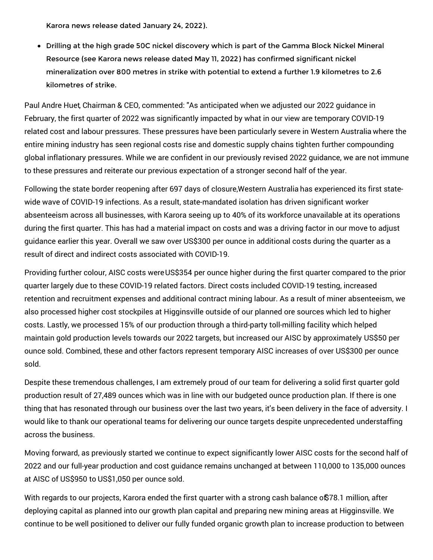Karora news release dated January 24, 2022).

Drilling at the high grade 50C nickel discovery which is part of the Gamma Block Nickel Mineral Resource (see Karora news release dated May 11, 2022) has confirmed significant nickel mineralization over 800 metres in strike with potential to extend a further 1.9 kilometres to 2.6 kilometres of strike.

Paul Andre Huet, Chairman & CEO, commented: "As anticipated when we adjusted our 2022 guidance in February, the first quarter of 2022 was significantly impacted by what in our view are temporary COVID-19 related cost and labour pressures. These pressures have been particularly severe in Western Australia where the entire mining industry has seen regional costs rise and domestic supply chains tighten further compounding global inflationary pressures. While we are confident in our previously revised 2022 guidance, we are not immune to these pressures and reiterate our previous expectation of a stronger second half of the year.

Following the state border reopening after 697 days of closure,Western Australia has experienced its first statewide wave of COVID-19 infections. As a result, state-mandated isolation has driven significant worker absenteeism across all businesses, with Karora seeing up to 40% of its workforce unavailable at its operations during the first quarter. This has had a material impact on costs and was a driving factor in our move to adjust guidance earlier this year. Overall we saw over US\$300 per ounce in additional costs during the quarter as a result of direct and indirect costs associated with COVID-19.

Providing further colour, AISC costs wereUS\$354 per ounce higher during the first quarter compared to the prior quarter largely due to these COVID-19 related factors. Direct costs included COVID-19 testing, increased retention and recruitment expenses and additional contract mining labour. As a result of miner absenteeism, we also processed higher cost stockpiles at Higginsville outside of our planned ore sources which led to higher costs. Lastly, we processed 15% of our production through a third-party toll-milling facility which helped maintain gold production levels towards our 2022 targets, but increased our AISC by approximately US\$50 per ounce sold. Combined, these and other factors represent temporary AISC increases of over US\$300 per ounce sold.

Despite these tremendous challenges, I am extremely proud of our team for delivering a solid first quarter gold production result of 27,489 ounces which was in line with our budgeted ounce production plan. If there is one thing that has resonated through our business over the last two years, it's been delivery in the face of adversity. I would like to thank our operational teams for delivering our ounce targets despite unprecedented understaffing across the business.

Moving forward, as previously started we continue to expect significantly lower AISC costs for the second half of 2022 and our full-year production and cost guidance remains unchanged at between 110,000 to 135,000 ounces at AISC of US\$950 to US\$1,050 per ounce sold.

With regards to our projects, Karora ended the first quarter with a strong cash balance of\$78.1 million, after deploying capital as planned into our growth plan capital and preparing new mining areas at Higginsville. We continue to be well positioned to deliver our fully funded organic growth plan to increase production to between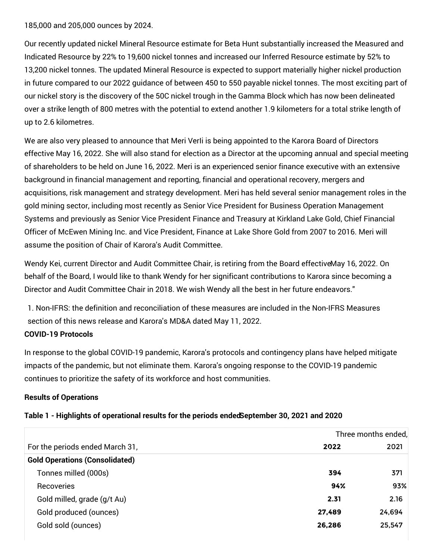185,000 and 205,000 ounces by 2024.

Our recently updated nickel Mineral Resource estimate for Beta Hunt substantially increased the Measured and Indicated Resource by 22% to 19,600 nickel tonnes and increased our Inferred Resource estimate by 52% to 13,200 nickel tonnes. The updated Mineral Resource is expected to support materially higher nickel production in future compared to our 2022 guidance of between 450 to 550 payable nickel tonnes. The most exciting part of our nickel story is the discovery of the 50C nickel trough in the Gamma Block which has now been delineated over a strike length of 800 metres with the potential to extend another 1.9 kilometers for a total strike length of up to 2.6 kilometres.

We are also very pleased to announce that Meri VerIi is being appointed to the Karora Board of Directors effective May 16, 2022. She will also stand for election as a Director at the upcoming annual and special meeting of shareholders to be held on June 16, 2022. Meri is an experienced senior finance executive with an extensive background in financial management and reporting, financial and operational recovery, mergers and acquisitions, risk management and strategy development. Meri has held several senior management roles in the gold mining sector, including most recently as Senior Vice President for Business Operation Management Systems and previously as Senior Vice President Finance and Treasury at Kirkland Lake Gold, Chief Financial Officer of McEwen Mining Inc. and Vice President, Finance at Lake Shore Gold from 2007 to 2016. Meri will assume the position of Chair of Karora's Audit Committee.

Wendy Kei, current Director and Audit Committee Chair, is retiring from the Board effectiveMay 16, 2022. On behalf of the Board, I would like to thank Wendy for her significant contributions to Karora since becoming a Director and Audit Committee Chair in 2018. We wish Wendy all the best in her future endeavors."

1. Non-IFRS: the definition and reconciliation of these measures are included in the Non-IFRS Measures section of this news release and Karora's MD&A dated May 11, 2022. **COVID-19 Protocols**

## In response to the global COVID-19 pandemic, Karora's protocols and contingency plans have helped mitigate impacts of the pandemic, but not eliminate them. Karora's ongoing response to the COVID-19 pandemic continues to prioritize the safety of its workforce and host communities.

#### **Results of Operations**

|                                       |        | Three months ended, |
|---------------------------------------|--------|---------------------|
| For the periods ended March 31,       | 2022   | 2021                |
| <b>Gold Operations (Consolidated)</b> |        |                     |
| Tonnes milled (000s)                  | 394    | 371                 |
| Recoveries                            | 94%    | 93%                 |
| Gold milled, grade (g/t Au)           | 2.31   | 2.16                |
| Gold produced (ounces)                | 27,489 | 24,694              |
| Gold sold (ounces)                    | 26,286 | 25,547              |

#### **Table 1 - Highlights of operational results for the periods endedSeptember 30, 2021 and 2020**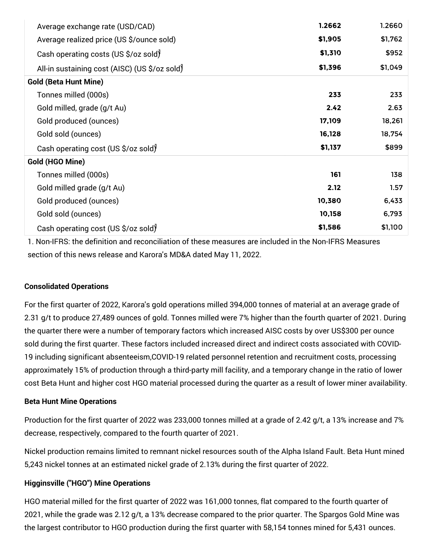| Average exchange rate (USD/CAD)               | 1.2662  | 1.2660  |
|-----------------------------------------------|---------|---------|
| Average realized price (US \$/ounce sold)     | \$1,905 | \$1,762 |
| Cash operating costs (US \$/oz sold)          | \$1,310 | \$952   |
| All-in sustaining cost (AISC) (US \$/oz sold) | \$1,396 | \$1,049 |
| <b>Gold (Beta Hunt Mine)</b>                  |         |         |
| Tonnes milled (000s)                          | 233     | 233     |
| Gold milled, grade (g/t Au)                   | 2.42    | 2.63    |
| Gold produced (ounces)                        | 17,109  | 18,261  |
| Gold sold (ounces)                            | 16,128  | 18,754  |
| Cash operating cost (US \$/oz sold)           | \$1,137 | \$899   |
| Gold (HGO Mine)                               |         |         |
| Tonnes milled (000s)                          | 161     | 138     |
| Gold milled grade (g/t Au)                    | 2.12    | 1.57    |
| Gold produced (ounces)                        | 10,380  | 6,433   |
| Gold sold (ounces)                            | 10,158  | 6,793   |
| Cash operating cost (US \$/oz sold)           | \$1,586 | \$1,100 |

1. Non-IFRS: the definition and reconciliation of these measures are included in the Non-IFRS Measures section of this news release and Karora's MD&A dated May 11, 2022.

#### **Consolidated Operations**

For the first quarter of 2022, Karora's gold operations milled 394,000 tonnes of material at an average grade of 2.31 g/t to produce 27,489 ounces of gold. Tonnes milled were 7% higher than the fourth quarter of 2021. During the quarter there were a number of temporary factors which increased AISC costs by over US\$300 per ounce sold during the first quarter. These factors included increased direct and indirect costs associated with COVID-19 including significant absenteeism,COVID-19 related personnel retention and recruitment costs, processing approximately 15% of production through a third-party mill facility, and a temporary change in the ratio of lower cost Beta Hunt and higher cost HGO material processed during the quarter as a result of lower miner availability.

#### **Beta Hunt Mine Operations**

Production for the first quarter of 2022 was 233,000 tonnes milled at a grade of 2.42 g/t, a 13% increase and 7% decrease, respectively, compared to the fourth quarter of 2021.

Nickel production remains limited to remnant nickel resources south of the Alpha Island Fault. Beta Hunt mined 5,243 nickel tonnes at an estimated nickel grade of 2.13% during the first quarter of 2022.

#### **Higginsville ("HGO") Mine Operations**

HGO material milled for the first quarter of 2022 was 161,000 tonnes, flat compared to the fourth quarter of 2021, while the grade was 2.12 g/t, a 13% decrease compared to the prior quarter. The Spargos Gold Mine was the largest contributor to HGO production during the first quarter with 58,154 tonnes mined for 5,431 ounces.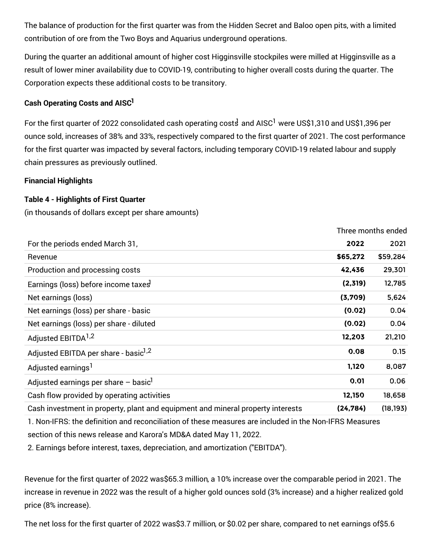The balance of production for the first quarter was from the Hidden Secret and Baloo open pits, with a limited contribution of ore from the Two Boys and Aquarius underground operations.

During the quarter an additional amount of higher cost Higginsville stockpiles were milled at Higginsville as a result of lower miner availability due to COVID-19, contributing to higher overall costs during the quarter. The Corporation expects these additional costs to be transitory.

### **Cash Operating Costs and AISC 1**

For the first quarter of 2022 consolidated cash operating cost $\mathrm{J}$  and AISC<sup>1</sup> were US\$1,310 and US\$1,396 per ounce sold, increases of 38% and 33%, respectively compared to the first quarter of 2021. The cost performance for the first quarter was impacted by several factors, including temporary COVID-19 related labour and supply chain pressures as previously outlined.

Three months ended

#### **Financial Highlights**

#### **Table 4 - Highlights of First Quarter**

(in thousands of dollars except per share amounts)

|                                                                                 |           | Three months ended |
|---------------------------------------------------------------------------------|-----------|--------------------|
| For the periods ended March 31,                                                 | 2022      | 2021               |
| Revenue                                                                         | \$65,272  | \$59,284           |
| Production and processing costs                                                 | 42,436    | 29,301             |
| Earnings (loss) before income taxes                                             | (2,319)   | 12,785             |
| Net earnings (loss)                                                             | (3,709)   | 5,624              |
| Net earnings (loss) per share - basic                                           | (0.02)    | 0.04               |
| Net earnings (loss) per share - diluted                                         | (0.02)    | 0.04               |
| Adjusted EBITDA <sup>1,2</sup>                                                  | 12,203    | 21,210             |
| Adjusted EBITDA per share - basic <sup>1,2</sup>                                | 0.08      | 0.15               |
| Adjusted earnings <sup>1</sup>                                                  | 1,120     | 8,087              |
| Adjusted earnings per share $-$ basic <sup>1</sup>                              | 0.01      | 0.06               |
| Cash flow provided by operating activities                                      | 12,150    | 18,658             |
| Cash investment in property, plant and equipment and mineral property interests | (24, 784) | (18, 193)          |

1. Non-IFRS: the definition and reconciliation of these measures are included in the Non-IFRS Measures section of this news release and Karora's MD&A dated May 11, 2022.

2. Earnings before interest, taxes, depreciation, and amortization ("EBITDA").

Revenue for the first quarter of 2022 was\$65.3 million, a 10% increase over the comparable period in 2021. The increase in revenue in 2022 was the result of a higher gold ounces sold (3% increase) and a higher realized gold price (8% increase).

The net loss for the first quarter of 2022 was\$3.7 million, or \$0.02 per share, compared to net earnings of\$5.6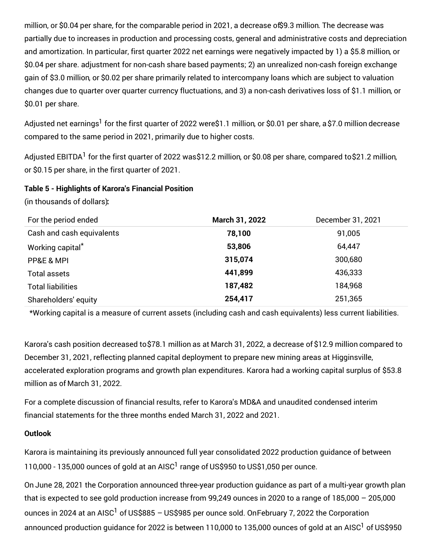million, or \$0.04 per share, for the comparable period in 2021, a decrease of\$9.3 million. The decrease was partially due to increases in production and processing costs, general and administrative costs and depreciation and amortization. In particular, first quarter 2022 net earnings were negatively impacted by 1) a \$5.8 million, or \$0.04 per share. adjustment for non-cash share based payments; 2) an unrealized non-cash foreign exchange gain of \$3.0 million, or \$0.02 per share primarily related to intercompany loans which are subject to valuation changes due to quarter over quarter currency fluctuations, and 3) a non-cash derivatives loss of \$1.1 million, or \$0.01 per share.

Adjusted net earnings<sup>1</sup> for the first quarter of 2022 were\$1.1 million, or \$0.01 per share, a \$7.0 million decrease compared to the same period in 2021, primarily due to higher costs.

Adjusted EBITDA<sup>1</sup> for the first quarter of 2022 was\$12.2 million, or \$0.08 per share, compared to\$21.2 million, or \$0.15 per share, in the first quarter of 2021.

#### **Table 5 - Highlights of Karora's Financial Position**

(in thousands of dollars)**:**

| For the period ended      | March 31, 2022 | December 31, 2021 |
|---------------------------|----------------|-------------------|
| Cash and cash equivalents | 78,100         | 91,005            |
| Working capital*          | 53,806         | 64,447            |
| PP&E & MPI                | 315,074        | 300,680           |
| <b>Total assets</b>       | 441,899        | 436,333           |
| <b>Total liabilities</b>  | 187,482        | 184,968           |
| Shareholders' equity      | 254,417        | 251,365           |

\*Working capital is a measure of current assets (including cash and cash equivalents) less current liabilities.

Karora's cash position decreased to\$78.1 million as at March 31, 2022, a decrease of \$12.9 million compared to December 31, 2021, reflecting planned capital deployment to prepare new mining areas at Higginsville, accelerated exploration programs and growth plan expenditures. Karora had a working capital surplus of \$53.8 million as of March 31, 2022.

For a complete discussion of financial results, refer to Karora's MD&A and unaudited condensed interim financial statements for the three months ended March 31, 2022 and 2021.

#### **Outlook**

Karora is maintaining its previously announced full year consolidated 2022 production guidance of between 110,000 - 135,000 ounces of gold at an AISC<sup>1</sup> range of US\$950 to US\$1,050 per ounce.

On June 28, 2021 the Corporation announced three-year production guidance as part of a multi-year growth plan that is expected to see gold production increase from 99,249 ounces in 2020 to a range of 185,000 – 205,000 ounces in 2024 at an AISC<sup>1</sup> of US\$885 – US\$985 per ounce sold. OnFebruary 7, 2022 the Corporation announced production guidance for 2022 is between 110,000 to 135,000 ounces of gold at an AISC<sup>1</sup> of US\$950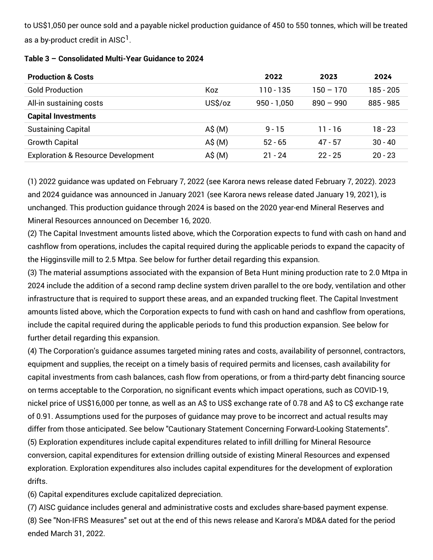to US\$1,050 per ounce sold and a payable nickel production guidance of 450 to 550 tonnes, which will be treated as a by-product credit in AISC $^1$ .

| <b>Production &amp; Costs</b>                 |                   | 2022          | 2023        | 2024        |
|-----------------------------------------------|-------------------|---------------|-------------|-------------|
| <b>Gold Production</b>                        | Koz               | 110 - 135     | $150 - 170$ | 185 - 205   |
| All-in sustaining costs                       | US\$/oz           | $950 - 1,050$ | $890 - 990$ | $885 - 985$ |
| <b>Capital Investments</b>                    |                   |               |             |             |
| <b>Sustaining Capital</b>                     | $A\hat{S}(M)$     | $9 - 15$      | 11 - 16     | 18 - 23     |
| <b>Growth Capital</b>                         | $A\hat{S}(M)$     | $52 - 65$     | $47 - 57$   | $30 - 40$   |
| <b>Exploration &amp; Resource Development</b> | $A\$ mathsf{S}(M) | $21 - 24$     | $22 - 25$   | $20 - 23$   |

#### **Table 3 – Consolidated Multi-Year Guidance to 2024**

(1) 2022 guidance was updated on February 7, 2022 (see Karora news release dated February 7, 2022). 2023 and 2024 guidance was announced in January 2021 (see Karora news release dated January 19, 2021), is unchanged. This production guidance through 2024 is based on the 2020 year-end Mineral Reserves and Mineral Resources announced on December 16, 2020.

(2) The Capital Investment amounts listed above, which the Corporation expects to fund with cash on hand and cashflow from operations, includes the capital required during the applicable periods to expand the capacity of the Higginsville mill to 2.5 Mtpa. See below for further detail regarding this expansion.

(3) The material assumptions associated with the expansion of Beta Hunt mining production rate to 2.0 Mtpa in 2024 include the addition of a second ramp decline system driven parallel to the ore body, ventilation and other infrastructure that is required to support these areas, and an expanded trucking fleet. The Capital Investment amounts listed above, which the Corporation expects to fund with cash on hand and cashflow from operations, include the capital required during the applicable periods to fund this production expansion. See below for further detail regarding this expansion.

(4) The Corporation's guidance assumes targeted mining rates and costs, availability of personnel, contractors, equipment and supplies, the receipt on a timely basis of required permits and licenses, cash availability for capital investments from cash balances, cash flow from operations, or from a third-party debt financing source on terms acceptable to the Corporation, no significant events which impact operations, such as COVID-19, nickel price of US\$16,000 per tonne, as well as an A\$ to US\$ exchange rate of 0.78 and A\$ to C\$ exchange rate of 0.91. Assumptions used for the purposes of guidance may prove to be incorrect and actual results may differ from those anticipated. See below "Cautionary Statement Concerning Forward-Looking Statements". (5) Exploration expenditures include capital expenditures related to infill drilling for Mineral Resource conversion, capital expenditures for extension drilling outside of existing Mineral Resources and expensed exploration. Exploration expenditures also includes capital expenditures for the development of exploration drifts.

(6) Capital expenditures exclude capitalized depreciation.

(7) AISC guidance includes general and administrative costs and excludes share-based payment expense. (8) See "Non-IFRS Measures" set out at the end of this news release and Karora's MD&A dated for the period ended March 31, 2022.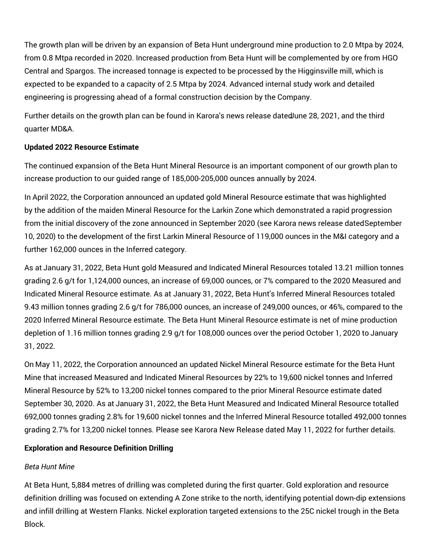The growth plan will be driven by an expansion of Beta Hunt underground mine production to 2.0 Mtpa by 2024, from 0.8 Mtpa recorded in 2020. Increased production from Beta Hunt will be complemented by ore from HGO Central and Spargos. The increased tonnage is expected to be processed by the Higginsville mill, which is expected to be expanded to a capacity of 2.5 Mtpa by 2024. Advanced internal study work and detailed engineering is progressing ahead of a formal construction decision by the Company.

Further details on the growth plan can be found in Karora's news release datedJune 28, 2021, and the third quarter MD&A.

#### **Updated 2022 Resource Estimate**

The continued expansion of the Beta Hunt Mineral Resource is an important component of our growth plan to increase production to our guided range of 185,000-205,000 ounces annually by 2024.

In April 2022, the Corporation announced an updated gold Mineral Resource estimate that was highlighted by the addition of the maiden Mineral Resource for the Larkin Zone which demonstrated a rapid progression from the initial discovery of the zone announced in September 2020 (see Karora news release datedSeptember 10, 2020) to the development of the first Larkin Mineral Resource of 119,000 ounces in the M&I category and a further 162,000 ounces in the Inferred category.

As at January 31, 2022, Beta Hunt gold Measured and Indicated Mineral Resources totaled 13.21 million tonnes grading 2.6 g/t for 1,124,000 ounces, an increase of 69,000 ounces, or 7% compared to the 2020 Measured and Indicated Mineral Resource estimate. As at January 31, 2022, Beta Hunt's Inferred Mineral Resources totaled 9.43 million tonnes grading 2.6 g/t for 786,000 ounces, an increase of 249,000 ounces, or 46%, compared to the 2020 Inferred Mineral Resource estimate. The Beta Hunt Mineral Resource estimate is net of mine production depletion of 1.16 million tonnes grading 2.9 g/t for 108,000 ounces over the period October 1, 2020 to January 31, 2022.

On May 11, 2022, the Corporation announced an updated Nickel Mineral Resource estimate for the Beta Hunt Mine that increased Measured and Indicated Mineral Resources by 22% to 19,600 nickel tonnes and Inferred Mineral Resource by 52% to 13,200 nickel tonnes compared to the prior Mineral Resource estimate dated September 30, 2020. As at January 31, 2022, the Beta Hunt Measured and Indicated Mineral Resource totalled 692,000 tonnes grading 2.8% for 19,600 nickel tonnes and the Inferred Mineral Resource totalled 492,000 tonnes grading 2.7% for 13,200 nickel tonnes. Please see Karora New Release dated May 11, 2022 for further details.

## **Exploration and Resource Definition Drilling**

## *Beta Hunt Mine*

At Beta Hunt, 5,884 metres of drilling was completed during the first quarter. Gold exploration and resource definition drilling was focused on extending A Zone strike to the north, identifying potential down-dip extensions and infill drilling at Western Flanks. Nickel exploration targeted extensions to the 25C nickel trough in the Beta Block.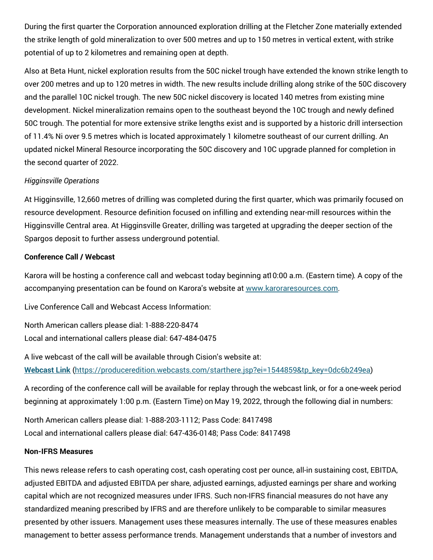During the first quarter the Corporation announced exploration drilling at the Fletcher Zone materially extended the strike length of gold mineralization to over 500 metres and up to 150 metres in vertical extent, with strike potential of up to 2 kilometres and remaining open at depth.

Also at Beta Hunt, nickel exploration results from the 50C nickel trough have extended the known strike length to over 200 metres and up to 120 metres in width. The new results include drilling along strike of the 50C discovery and the parallel 10C nickel trough. The new 50C nickel discovery is located 140 metres from existing mine development. Nickel mineralization remains open to the southeast beyond the 10C trough and newly defined 50C trough. The potential for more extensive strike lengths exist and is supported by a historic drill intersection of 11.4% Ni over 9.5 metres which is located approximately 1 kilometre southeast of our current drilling. An updated nickel Mineral Resource incorporating the 50C discovery and 10C upgrade planned for completion in the second quarter of 2022.

#### *Higginsville Operations*

At Higginsville, 12,660 metres of drilling was completed during the first quarter, which was primarily focused on resource development. Resource definition focused on infilling and extending near-mill resources within the Higginsville Central area. At Higginsville Greater, drilling was targeted at upgrading the deeper section of the Spargos deposit to further assess underground potential.

#### **Conference Call / Webcast**

Karora will be hosting a conference call and webcast today beginning at10:00 a.m. (Eastern time). A copy of the accompanying presentation can be found on Karora's website at [www.karoraresources.com.](https://c212.net/c/link/?t=0&l=en&o=3534769-1&h=1108519225&u=http%3A%2F%2Fwww.karoraresources.com%2F&a=www.karoraresources.com)

Live Conference Call and Webcast Access Information:

North American callers please dial: 1-888-220-8474 Local and international callers please dial: 647-484-0475

A live webcast of the call will be available through Cision's website at: **[Webcast](https://c212.net/c/link/?t=0&l=en&o=3534769-1&h=2872306264&u=https%3A%2F%2Fproduceredition.webcasts.com%2Fstarthere.jsp%3Fei%3D1544859%26tp_key%3D0dc6b249ea&a=Webcast+Link) Link** [\(https://produceredition.webcasts.com/starthere.jsp?ei=1544859&tp\\_key=0dc6b249ea](https://produceredition.webcasts.com/starthere.jsp?ei=1544859&tp_key=0dc6b249ea))

A recording of the conference call will be available for replay through the webcast link, or for a one-week period beginning at approximately 1:00 p.m. (Eastern Time) on May 19, 2022, through the following dial in numbers:

North American callers please dial: 1-888-203-1112; Pass Code: 8417498 Local and international callers please dial: 647-436-0148; Pass Code: 8417498

#### **Non-IFRS Measures**

This news release refers to cash operating cost, cash operating cost per ounce, all-in sustaining cost, EBITDA, adjusted EBITDA and adjusted EBITDA per share, adjusted earnings, adjusted earnings per share and working capital which are not recognized measures under IFRS. Such non-IFRS financial measures do not have any standardized meaning prescribed by IFRS and are therefore unlikely to be comparable to similar measures presented by other issuers. Management uses these measures internally. The use of these measures enables management to better assess performance trends. Management understands that a number of investors and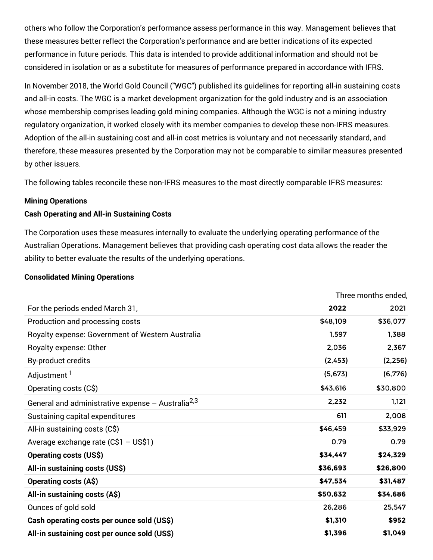others who follow the Corporation's performance assess performance in this way. Management believes that these measures better reflect the Corporation's performance and are better indications of its expected performance in future periods. This data is intended to provide additional information and should not be considered in isolation or as a substitute for measures of performance prepared in accordance with IFRS.

In November 2018, the World Gold Council ("WGC") published its guidelines for reporting all-in sustaining costs and all-in costs. The WGC is a market development organization for the gold industry and is an association whose membership comprises leading gold mining companies. Although the WGC is not a mining industry regulatory organization, it worked closely with its member companies to develop these non-IFRS measures. Adoption of the all-in sustaining cost and all-in cost metrics is voluntary and not necessarily standard, and therefore, these measures presented by the Corporation may not be comparable to similar measures presented by other issuers.

The following tables reconcile these non-IFRS measures to the most directly comparable IFRS measures:

#### **Mining Operations**

#### **Cash Operating and All-in Sustaining Costs**

The Corporation uses these measures internally to evaluate the underlying operating performance of the Australian Operations. Management believes that providing cash operating cost data allows the reader the ability to better evaluate the results of the underlying operations.

#### **Consolidated Mining Operations**

|                                                               | Three months ended, |          |
|---------------------------------------------------------------|---------------------|----------|
| For the periods ended March 31,                               | 2022                | 2021     |
| Production and processing costs                               | \$48,109            | \$36,077 |
| Royalty expense: Government of Western Australia              | 1,597               | 1,388    |
| Royalty expense: Other                                        | 2,036               | 2,367    |
| By-product credits                                            | (2, 453)            | (2, 256) |
| Adjustment <sup>1</sup>                                       | (5,673)             | (6, 776) |
| Operating costs (C\$)                                         | \$43,616            | \$30,800 |
| General and administrative expense - Australia <sup>2,3</sup> | 2,232               | 1,121    |
| Sustaining capital expenditures                               | 611                 | 2,008    |
| All-in sustaining costs (C\$)                                 | \$46,459            | \$33,929 |
| Average exchange rate (C\$1 - US\$1)                          | 0.79                | 0.79     |
| <b>Operating costs (US\$)</b>                                 | \$34,447            | \$24,329 |
| All-in sustaining costs (US\$)                                | \$36,693            | \$26,800 |
| <b>Operating costs (A\$)</b>                                  | \$47,534            | \$31,487 |
| All-in sustaining costs (A\$)                                 | \$50,632            | \$34,686 |
| Ounces of gold sold                                           | 26,286              | 25,547   |
| Cash operating costs per ounce sold (US\$)                    | \$1,310             | \$952    |
| All-in sustaining cost per ounce sold (US\$)                  | \$1,396             | \$1,049  |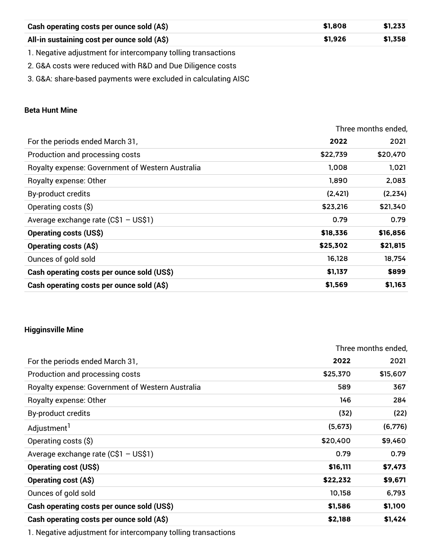| Cash operating costs per ounce sold (A\$)                    | \$1.808 | \$1.233 |
|--------------------------------------------------------------|---------|---------|
| All-in sustaining cost per ounce sold (A\$)                  | \$1.926 | \$1,358 |
| 1. Negative adjustment for intercompany tolling transactions |         |         |

2. G&A costs were reduced with R&D and Due Diligence costs

3. G&A: share-based payments were excluded in calculating AISC

#### **Beta Hunt Mine**

|                                                  |          | Three months ended, |
|--------------------------------------------------|----------|---------------------|
| For the periods ended March 31,                  | 2022     | 2021                |
| Production and processing costs                  | \$22,739 | \$20,470            |
| Royalty expense: Government of Western Australia | 1,008    | 1,021               |
| Royalty expense: Other                           | 1,890    | 2,083               |
| By-product credits                               | (2,421)  | (2, 234)            |
| Operating costs (\$)                             | \$23,216 | \$21,340            |
| Average exchange rate (C\$1 - US\$1)             | 0.79     | 0.79                |
| <b>Operating costs (US\$)</b>                    | \$18,336 | \$16,856            |
| <b>Operating costs (A\$)</b>                     | \$25,302 | \$21,815            |
| Ounces of gold sold                              | 16,128   | 18,754              |
| Cash operating costs per ounce sold (US\$)       | \$1,137  | \$899               |
| Cash operating costs per ounce sold (A\$)        | \$1,569  | \$1,163             |

#### **Higginsville Mine**

|                                                  | Three months ended, |          |  |
|--------------------------------------------------|---------------------|----------|--|
| For the periods ended March 31,                  | 2022                | 2021     |  |
| Production and processing costs                  | \$25,370            | \$15,607 |  |
| Royalty expense: Government of Western Australia | 589                 | 367      |  |
| Royalty expense: Other                           | 146                 | 284      |  |
| By-product credits                               | (32)                | (22)     |  |
| Adjustment <sup>1</sup>                          | (5,673)             | (6, 776) |  |
| Operating costs (\$)                             | \$20,400            | \$9,460  |  |
| Average exchange rate $(C$1 - US$1)$             | 0.79                | 0.79     |  |
| <b>Operating cost (US\$)</b>                     | \$16,111            | \$7,473  |  |
| <b>Operating cost (A\$)</b>                      | \$22,232            | \$9,671  |  |
| Ounces of gold sold                              | 10,158              | 6,793    |  |
| Cash operating costs per ounce sold (US\$)       | \$1,586             | \$1,100  |  |
| Cash operating costs per ounce sold (A\$)        | \$2,188             | \$1,424  |  |

1. Negative adjustment for intercompany tolling transactions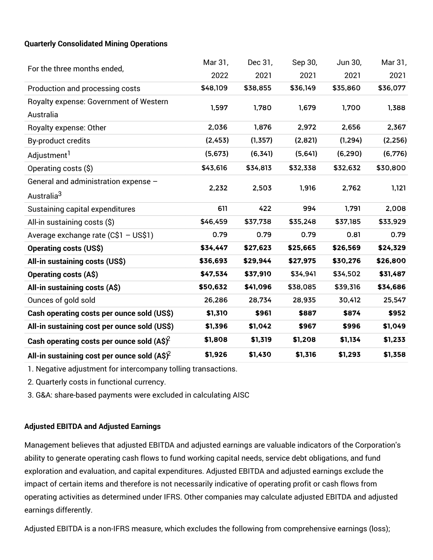#### **Quarterly Consolidated Mining Operations**

|                                                      | Mar 31,  | Dec 31,  | Sep 30,  | Jun 30,  | Mar 31,  |
|------------------------------------------------------|----------|----------|----------|----------|----------|
| For the three months ended,                          | 2022     | 2021     | 2021     | 2021     | 2021     |
| Production and processing costs                      | \$48,109 | \$38,855 | \$36,149 | \$35,860 | \$36,077 |
| Royalty expense: Government of Western               |          |          |          |          |          |
| Australia                                            | 1,597    | 1,780    | 1,679    | 1,700    | 1,388    |
| Royalty expense: Other                               | 2,036    | 1,876    | 2,972    | 2,656    | 2,367    |
| By-product credits                                   | (2, 453) | (1, 357) | (2,821)  | (1, 294) | (2, 256) |
| Adjustment <sup>1</sup>                              | (5,673)  | (6, 34]  | (5,64]   | (6, 290) | (6,776)  |
| Operating costs (\$)                                 | \$43,616 | \$34,813 | \$32,338 | \$32,632 | \$30,800 |
| General and administration expense -                 |          |          |          |          |          |
| Australia <sup>3</sup>                               | 2,232    | 2,503    | 1,916    | 2,762    | 1,121    |
| Sustaining capital expenditures                      | 611      | 422      | 994      | 1,791    | 2,008    |
| All-in sustaining costs (\$)                         | \$46,459 | \$37,738 | \$35,248 | \$37,185 | \$33,929 |
| Average exchange rate (C\$1 - US\$1)                 | 0.79     | 0.79     | 0.79     | 0.81     | 0.79     |
| <b>Operating costs (US\$)</b>                        | \$34,447 | \$27,623 | \$25,665 | \$26,569 | \$24,329 |
| All-in sustaining costs (US\$)                       | \$36,693 | \$29,944 | \$27,975 | \$30,276 | \$26,800 |
| <b>Operating costs (A\$)</b>                         | \$47,534 | \$37,910 | \$34,941 | \$34,502 | \$31,487 |
| All-in sustaining costs (A\$)                        | \$50,632 | \$41,096 | \$38,085 | \$39,316 | \$34,686 |
| Ounces of gold sold                                  | 26,286   | 28,734   | 28,935   | 30,412   | 25,547   |
| Cash operating costs per ounce sold (US\$)           | \$1,310  | \$961    | \$887    | \$874    | \$952    |
| All-in sustaining cost per ounce sold (US\$)         | \$1,396  | \$1,042  | \$967    | \$996    | \$1,049  |
| Cash operating costs per ounce sold $(A\hat{S})^2$   | \$1,808  | \$1,319  | \$1,208  | \$1,134  | \$1,233  |
| All-in sustaining cost per ounce sold $(A\hat{S})^2$ | \$1,926  | \$1,430  | \$1,316  | \$1,293  | \$1,358  |

1. Negative adjustment for intercompany tolling transactions.

2. Quarterly costs in functional currency.

3. G&A: share-based payments were excluded in calculating AISC

#### **Adjusted EBITDA and Adjusted Earnings**

Management believes that adjusted EBITDA and adjusted earnings are valuable indicators of the Corporation's ability to generate operating cash flows to fund working capital needs, service debt obligations, and fund exploration and evaluation, and capital expenditures. Adjusted EBITDA and adjusted earnings exclude the impact of certain items and therefore is not necessarily indicative of operating profit or cash flows from operating activities as determined under IFRS. Other companies may calculate adjusted EBITDA and adjusted earnings differently.

Adjusted EBITDA is a non-IFRS measure, which excludes the following from comprehensive earnings (loss);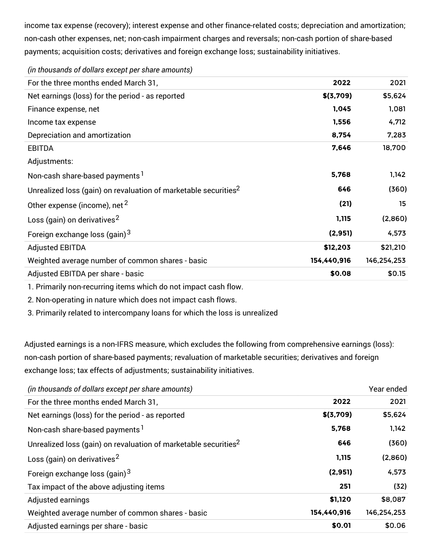income tax expense (recovery); interest expense and other finance-related costs; depreciation and amortization; non-cash other expenses, net; non-cash impairment charges and reversals; non-cash portion of share-based payments; acquisition costs; derivatives and foreign exchange loss; sustainability initiatives.

| For the three months ended March 31,                                        | 2022        | 2021        |
|-----------------------------------------------------------------------------|-------------|-------------|
| Net earnings (loss) for the period - as reported                            | \$(3,709)   | \$5,624     |
| Finance expense, net                                                        | 1,045       | 1,081       |
| Income tax expense                                                          | 1,556       | 4,712       |
| Depreciation and amortization                                               | 8,754       | 7,283       |
| <b>EBITDA</b>                                                               | 7,646       | 18,700      |
| Adjustments:                                                                |             |             |
| Non-cash share-based payments <sup>1</sup>                                  | 5,768       | 1,142       |
| Unrealized loss (gain) on revaluation of marketable securities <sup>2</sup> | 646         | (360)       |
| Other expense (income), net <sup>2</sup>                                    | (21)        | 15          |
| Loss (gain) on derivatives <sup>2</sup>                                     | 1,115       | (2,860)     |
| Foreign exchange loss (gain) <sup>3</sup>                                   | (2,951)     | 4,573       |
| <b>Adjusted EBITDA</b>                                                      | \$12,203    | \$21,210    |
| Weighted average number of common shares - basic                            | 154,440,916 | 146,254,253 |
| Adjusted EBITDA per share - basic                                           | \$0.08      | \$0.15      |

*(in thousands of dollars except per share amounts)*

1. Primarily non-recurring items which do not impact cash flow.

2. Non-operating in nature which does not impact cash flows.

3. Primarily related to intercompany loans for which the loss is unrealized*.*

Adjusted earnings is a non-IFRS measure, which excludes the following from comprehensive earnings (loss): non-cash portion of share-based payments; revaluation of marketable securities; derivatives and foreign exchange loss; tax effects of adjustments; sustainability initiatives.

|             | Year ended  |
|-------------|-------------|
| 2022        | 2021        |
| \$(3,709)   | \$5,624     |
| 5,768       | 1,142       |
| 646         | (360)       |
| 1,115       | (2,860)     |
| (2,951)     | 4,573       |
| 251         | (32)        |
| \$1,120     | \$8,087     |
| 154,440,916 | 146,254,253 |
| \$0.01      | \$0.06      |
|             |             |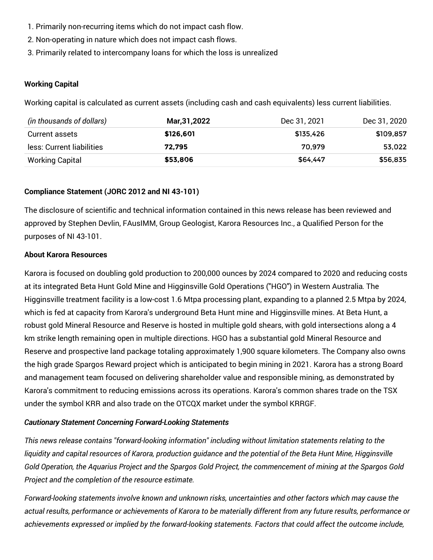- 1. Primarily non-recurring items which do not impact cash flow.
- 2. Non-operating in nature which does not impact cash flows.
- 3. Primarily related to intercompany loans for which the loss is unrealized*.*

#### **Working Capital**

Working capital is calculated as current assets (including cash and cash equivalents) less current liabilities.

| (in thousands of dollars) | <b>Mar,31,2022</b> | Dec 31, 2021 | Dec 31, 2020 |
|---------------------------|--------------------|--------------|--------------|
| Current assets            | \$126.601          | \$135.426    | \$109.857    |
| less: Current liabilities | 72.795             | 70.979       | 53.022       |
| Working Capital           | \$53.806           | \$64.447     | \$56.835     |

#### **Compliance Statement (JORC 2012 and NI 43-101)**

The disclosure of scientific and technical information contained in this news release has been reviewed and approved by Stephen Devlin, FAusIMM, Group Geologist, Karora Resources Inc., a Qualified Person for the purposes of NI 43-101.

#### **About Karora Resources**

Karora is focused on doubling gold production to 200,000 ounces by 2024 compared to 2020 and reducing costs at its integrated Beta Hunt Gold Mine and Higginsville Gold Operations ("HGO") in Western Australia. The Higginsville treatment facility is a low-cost 1.6 Mtpa processing plant, expanding to a planned 2.5 Mtpa by 2024, which is fed at capacity from Karora's underground Beta Hunt mine and Higginsville mines. At Beta Hunt, a robust gold Mineral Resource and Reserve is hosted in multiple gold shears, with gold intersections along a 4 km strike length remaining open in multiple directions. HGO has a substantial gold Mineral Resource and Reserve and prospective land package totaling approximately 1,900 square kilometers. The Company also owns the high grade Spargos Reward project which is anticipated to begin mining in 2021. Karora has a strong Board and management team focused on delivering shareholder value and responsible mining, as demonstrated by Karora's commitment to reducing emissions across its operations. Karora's common shares trade on the TSX under the symbol KRR and also trade on the OTCQX market under the symbol KRRGF.

#### *Cautionary Statement Concerning Forward-Looking Statements*

*This news release contains "forward-looking information" including without limitation statements relating to the* liquidity and capital resources of Karora, production quidance and the potential of the Beta Hunt Mine, Higginsville Gold Operation, the Aquarius Project and the Spargos Gold Project, the commencement of mining at the Spargos Gold *Project and the completion of the resource estimate.*

*Forward-looking statements involve known and unknown risks, uncertainties and other factors which may cause the* actual results, performance or achievements of Karora to be materially different from any future results, performance or *achievements expressed or implied by the forward-looking statements. Factors that could affect the outcome include,*